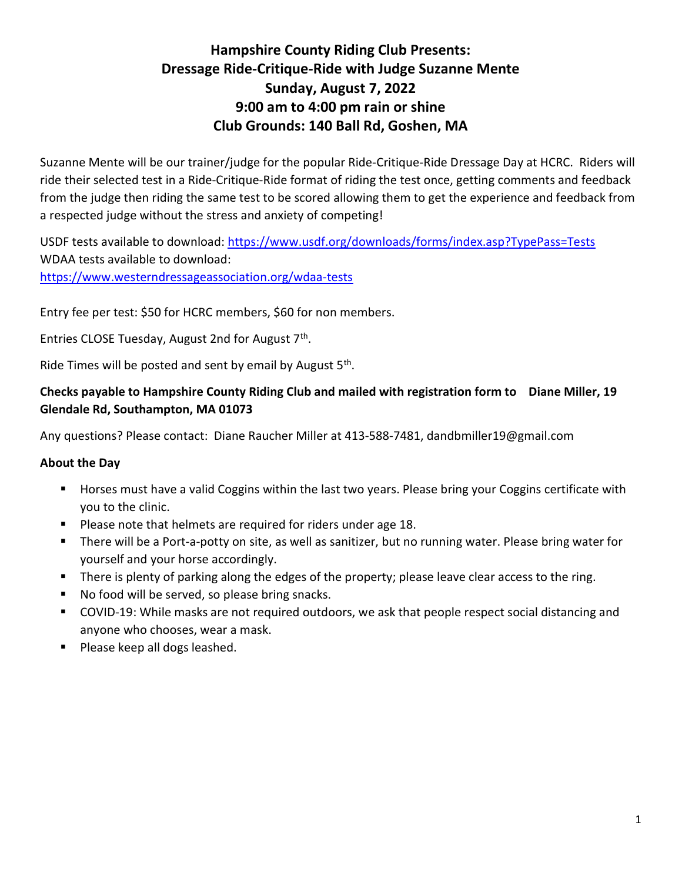## Hampshire County Riding Club Presents: Dressage Ride-Critique-Ride with Judge Suzanne Mente Sunday, August 7, 2022 9:00 am to 4:00 pm rain or shine Club Grounds: 140 Ball Rd, Goshen, MA

Suzanne Mente will be our trainer/judge for the popular Ride-Critique-Ride Dressage Day at HCRC. Riders will ride their selected test in a Ride-Critique-Ride format of riding the test once, getting comments and feedback from the judge then riding the same test to be scored allowing them to get the experience and feedback from a respected judge without the stress and anxiety of competing!

USDF tests available to download: https://www.usdf.org/downloads/forms/index.asp?TypePass=Tests WDAA tests available to download: https://www.westerndressageassociation.org/wdaa-tests

Entry fee per test: \$50 for HCRC members, \$60 for non members.

Entries CLOSE Tuesday, August 2nd for August 7<sup>th</sup>.

Ride Times will be posted and sent by email by August 5<sup>th</sup>.

### Checks payable to Hampshire County Riding Club and mailed with registration form to Diane Miller, 19 Glendale Rd, Southampton, MA 01073

Any questions? Please contact: Diane Raucher Miller at 413-588-7481, dandbmiller19@gmail.com

### About the Day

- **Horses must have a valid Coggins within the last two years. Please bring your Coggins certificate with** you to the clinic.
- **Please note that helmets are required for riders under age 18.**
- **There will be a Port-a-potty on site, as well as sanitizer, but no running water. Please bring water for** yourself and your horse accordingly.
- There is plenty of parking along the edges of the property; please leave clear access to the ring.
- No food will be served, so please bring snacks.
- COVID-19: While masks are not required outdoors, we ask that people respect social distancing and anyone who chooses, wear a mask.
- **Please keep all dogs leashed.**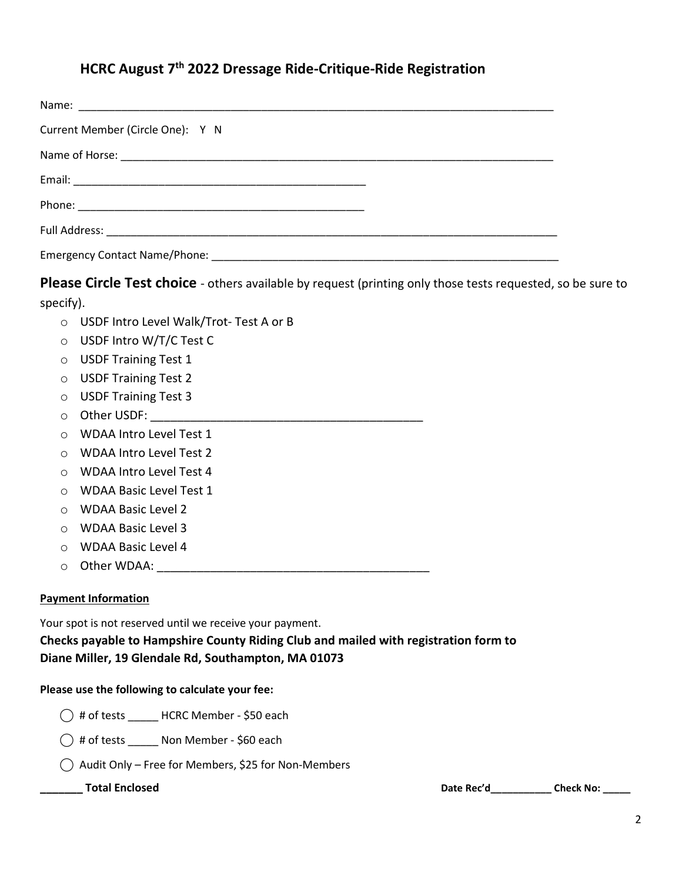## HCRC August 7<sup>th</sup> 2022 Dressage Ride-Critique-Ride Registration

| Current Member (Circle One): Y N |
|----------------------------------|
|                                  |
|                                  |
|                                  |
|                                  |
|                                  |

Please Circle Test choice - others available by request (printing only those tests requested, so be sure to specify).

- o USDF Intro Level Walk/Trot- Test A or B
- o USDF Intro W/T/C Test C
- o USDF Training Test 1
- o USDF Training Test 2
- o USDF Training Test 3
- o Other USDF: \_\_\_\_\_\_\_\_\_\_\_\_\_\_\_\_\_\_\_\_\_\_\_\_\_\_\_\_\_\_\_\_\_\_\_\_\_\_\_\_\_
- o WDAA Intro Level Test 1
- o WDAA Intro Level Test 2
- o WDAA Intro Level Test 4
- o WDAA Basic Level Test 1
- o WDAA Basic Level 2
- o WDAA Basic Level 3
- o WDAA Basic Level 4
- o Other WDAA: \_\_\_\_\_\_\_\_\_\_\_\_\_\_\_\_\_\_\_\_\_\_\_\_\_\_\_\_\_\_\_\_\_\_\_\_\_\_\_\_\_

### Payment Information

Your spot is not reserved until we receive your payment.

Checks payable to Hampshire County Riding Club and mailed with registration form to Diane Miller, 19 Glendale Rd, Southampton, MA 01073

### Please use the following to calculate your fee:

- $\bigcirc$  # of tests \_\_\_\_\_\_ HCRC Member \$50 each
- ⃝ # of tests \_\_\_\_\_ Non Member \$60 each
- $\bigcirc$  Audit Only Free for Members, \$25 for Non-Members

\_\_\_\_\_\_ Total Enclosed Date Rec'd\_\_\_\_\_\_\_\_\_\_\_\_ Check No: \_\_\_\_